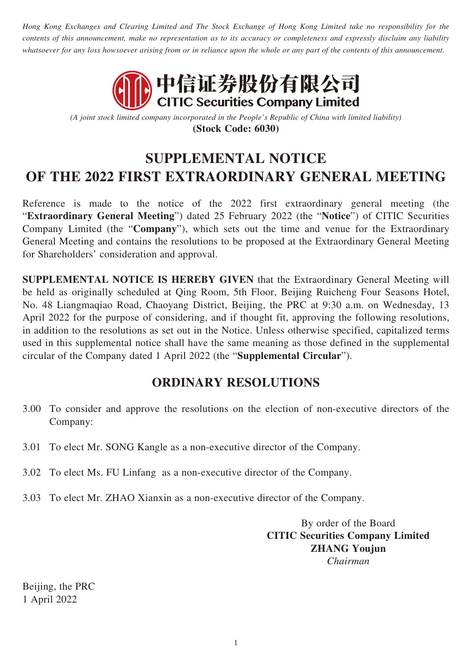*Hong Kong Exchanges and Clearing Limited and The Stock Exchange of Hong Kong Limited take no responsibility for the contents of this announcement, make no representation as to its accuracy or completeness and expressly disclaim any liability whatsoever for any loss howsoever arising from or in reliance upon the whole or any part of the contents of this announcement.*



*(A joint stock limited company incorporated in the People's Republic of China with limited liability)* **(Stock Code: 6030)**

# **SUPPLEMENTAL NOTICE OF THE 2022 FIRST EXTRAORDINARY GENERAL MEETING**

Reference is made to the notice of the 2022 first extraordinary general meeting (the "**Extraordinary General Meeting**") dated 25 February 2022 (the "**Notice**") of CITIC Securities Company Limited (the "**Company**"), which sets out the time and venue for the Extraordinary General Meeting and contains the resolutions to be proposed at the Extraordinary General Meeting for Shareholders' consideration and approval.

**SUPPLEMENTAL NOTICE IS HEREBY GIVEN** that the Extraordinary General Meeting will be held as originally scheduled at Qing Room, 5th Floor, Beijing Ruicheng Four Seasons Hotel, No. 48 Liangmaqiao Road, Chaoyang District, Beijing, the PRC at 9:30 a.m. on Wednesday, 13 April 2022 for the purpose of considering, and if thought fit, approving the following resolutions, in addition to the resolutions as set out in the Notice. Unless otherwise specified, capitalized terms used in this supplemental notice shall have the same meaning as those defined in the supplemental circular of the Company dated 1 April 2022 (the "**Supplemental Circular**").

## **ORDINARY RESOLUTIONS**

- 3.00 To consider and approve the resolutions on the election of non-executive directors of the Company:
- 3.01 To elect Mr. SONG Kangle as a non-executive director of the Company.
- 3.02 To elect Ms. FU Linfang as a non-executive director of the Company.
- 3.03 To elect Mr. ZHAO Xianxin as a non-executive director of the Company.

By order of the Board **CITIC Securities Company Limited ZHANG Youjun** *Chairman*

Beijing, the PRC 1 April 2022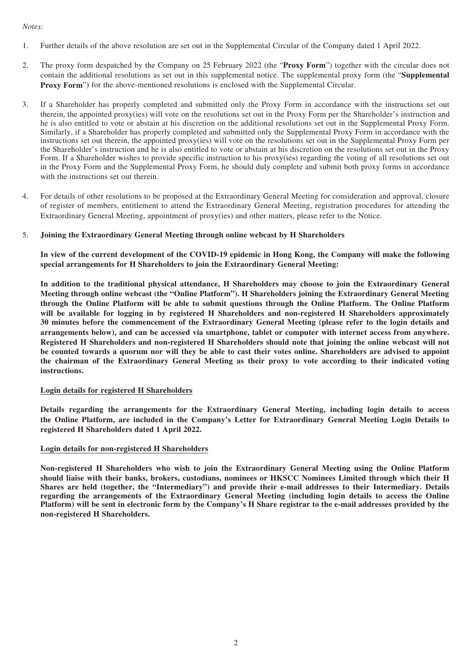#### *Notes:*

- 1. Further details of the above resolution are set out in the Supplemental Circular of the Company dated 1 April 2022.
- 2. The proxy form despatched by the Company on 25 February 2022 (the "**Proxy Form**") together with the circular does not contain the additional resolutions as set out in this supplemental notice. The supplemental proxy form (the "**Supplemental Proxy Form**") for the above-mentioned resolutions is enclosed with the Supplemental Circular.
- 3. If a Shareholder has properly completed and submitted only the Proxy Form in accordance with the instructions set out therein, the appointed proxy(ies) will vote on the resolutions set out in the Proxy Form per the Shareholder's instruction and he is also entitled to vote or abstain at his discretion on the additional resolutions set out in the Supplemental Proxy Form. Similarly, if a Shareholder has properly completed and submitted only the Supplemental Proxy Form in accordance with the instructions set out therein, the appointed proxy(ies) will vote on the resolutions set out in the Supplemental Proxy Form per the Shareholder's instruction and he is also entitled to vote or abstain at his discretion on the resolutions set out in the Proxy Form. If a Shareholder wishes to provide specific instruction to his proxy(ies) regarding the voting of all resolutions set out in the Proxy Form and the Supplemental Proxy Form, he should duly complete and submit both proxy forms in accordance with the instructions set out therein.
- 4. For details of other resolutions to be proposed at the Extraordinary General Meeting for consideration and approval, closure of register of members, entitlement to attend the Extraordinary General Meeting, registration procedures for attending the Extraordinary General Meeting, appointment of proxy(ies) and other matters, please refer to the Notice.
- 5. **Joining the Extraordinary General Meeting through online webcast by H Shareholders**

**In view of the current development of the COVID-19 epidemic in Hong Kong, the Company will make the following special arrangements for H Shareholders to join the Extraordinary General Meeting:**

**In addition to the traditional physical attendance, H Shareholders may choose to join the Extraordinary General Meeting through online webcast (the "Online Platform"). H Shareholders joining the Extraordinary General Meeting through the Online Platform will be able to submit questions through the Online Platform. The Online Platform will be available for logging in by registered H Shareholders and non-registered H Shareholders approximately 30 minutes before the commencement of the Extraordinary General Meeting (please refer to the login details and arrangements below), and can be accessed via smartphone, tablet or computer with internet access from anywhere. Registered H Shareholders and non-registered H Shareholders should note that joining the online webcast will not be counted towards a quorum nor will they be able to cast their votes online. Shareholders are advised to appoint the chairman of the Extraordinary General Meeting as their proxy to vote according to their indicated voting instructions.**

### **Login details for registered H Shareholders**

**Details regarding the arrangements for the Extraordinary General Meeting, including login details to access the Online Platform, are included in the Company's Letter for Extraordinary General Meeting Login Details to registered H Shareholders dated 1 April 2022.**

### **Login details for non-registered H Shareholders**

**Non-registered H Shareholders who wish to join the Extraordinary General Meeting using the Online Platform should liaise with their banks, brokers, custodians, nominees or HKSCC Nominees Limited through which their H Shares are held (together, the "Intermediary") and provide their e-mail addresses to their Intermediary. Details regarding the arrangements of the Extraordinary General Meeting (including login details to access the Online Platform) will be sent in electronic form by the Company's H Share registrar to the e-mail addresses provided by the non-registered H Shareholders.**